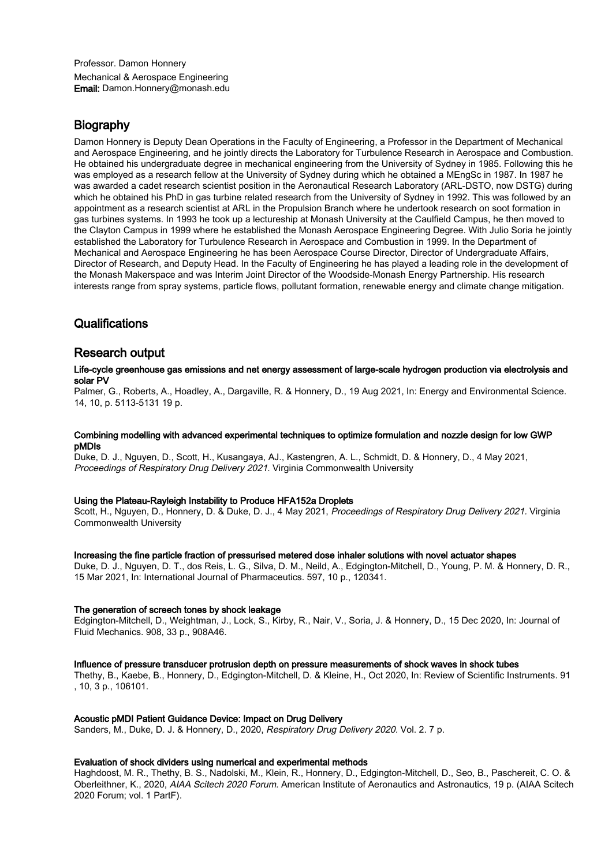Professor. Damon Honnery Mechanical & Aerospace Engineering Email: Damon.Honnery@monash.edu

# **Biography**

Damon Honnery is Deputy Dean Operations in the Faculty of Engineering, a Professor in the Department of Mechanical and Aerospace Engineering, and he jointly directs the Laboratory for Turbulence Research in Aerospace and Combustion. He obtained his undergraduate degree in mechanical engineering from the University of Sydney in 1985. Following this he was employed as a research fellow at the University of Sydney during which he obtained a MEngSc in 1987. In 1987 he was awarded a cadet research scientist position in the Aeronautical Research Laboratory (ARL-DSTO, now DSTG) during which he obtained his PhD in gas turbine related research from the University of Sydney in 1992. This was followed by an appointment as a research scientist at ARL in the Propulsion Branch where he undertook research on soot formation in gas turbines systems. In 1993 he took up a lectureship at Monash University at the Caulfield Campus, he then moved to the Clayton Campus in 1999 where he established the Monash Aerospace Engineering Degree. With Julio Soria he jointly established the Laboratory for Turbulence Research in Aerospace and Combustion in 1999. In the Department of Mechanical and Aerospace Engineering he has been Aerospace Course Director, Director of Undergraduate Affairs, Director of Research, and Deputy Head. In the Faculty of Engineering he has played a leading role in the development of the Monash Makerspace and was Interim Joint Director of the Woodside-Monash Energy Partnership. His research interests range from spray systems, particle flows, pollutant formation, renewable energy and climate change mitigation.

# **Qualifications**

# Research output

# Life-cycle greenhouse gas emissions and net energy assessment of large-scale hydrogen production via electrolysis and solar PV

Palmer, G., Roberts, A., Hoadley, A., Dargaville, R. & Honnery, D., 19 Aug 2021, In: Energy and Environmental Science. 14, 10, p. 5113-5131 19 p.

# Combining modelling with advanced experimental techniques to optimize formulation and nozzle design for low GWP pMDIs

Duke, D. J., Nguyen, D., Scott, H., Kusangaya, AJ., Kastengren, A. L., Schmidt, D. & Honnery, D., 4 May 2021, Proceedings of Respiratory Drug Delivery 2021. Virginia Commonwealth University

# Using the Plateau-Rayleigh Instability to Produce HFA152a Droplets

Scott, H., Nguyen, D., Honnery, D. & Duke, D. J., 4 May 2021, Proceedings of Respiratory Drug Delivery 2021. Virginia Commonwealth University

# Increasing the fine particle fraction of pressurised metered dose inhaler solutions with novel actuator shapes

Duke, D. J., Nguyen, D. T., dos Reis, L. G., Silva, D. M., Neild, A., Edgington-Mitchell, D., Young, P. M. & Honnery, D. R., 15 Mar 2021, In: International Journal of Pharmaceutics. 597, 10 p., 120341.

# The generation of screech tones by shock leakage

Edgington-Mitchell, D., Weightman, J., Lock, S., Kirby, R., Nair, V., Soria, J. & Honnery, D., 15 Dec 2020, In: Journal of Fluid Mechanics. 908, 33 p., 908A46.

# Influence of pressure transducer protrusion depth on pressure measurements of shock waves in shock tubes

Thethy, B., Kaebe, B., Honnery, D., Edgington-Mitchell, D. & Kleine, H., Oct 2020, In: Review of Scientific Instruments. 91 , 10, 3 p., 106101.

# Acoustic pMDI Patient Guidance Device: Impact on Drug Delivery

Sanders, M., Duke, D. J. & Honnery, D., 2020, Respiratory Drug Delivery 2020. Vol. 2. 7 p.

# Evaluation of shock dividers using numerical and experimental methods

Haghdoost, M. R., Thethy, B. S., Nadolski, M., Klein, R., Honnery, D., Edgington-Mitchell, D., Seo, B., Paschereit, C. O. & Oberleithner, K., 2020, AIAA Scitech 2020 Forum. American Institute of Aeronautics and Astronautics, 19 p. (AIAA Scitech 2020 Forum; vol. 1 PartF).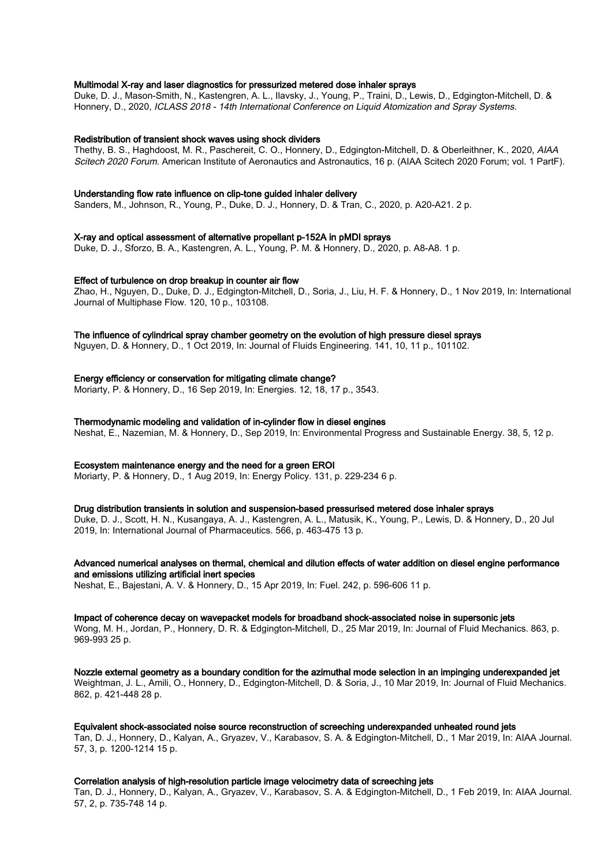# Multimodal X-ray and laser diagnostics for pressurized metered dose inhaler sprays

Duke, D. J., Mason-Smith, N., Kastengren, A. L., Ilavsky, J., Young, P., Traini, D., Lewis, D., Edgington-Mitchell, D. & Honnery, D., 2020, ICLASS 2018 - 14th International Conference on Liquid Atomization and Spray Systems.

### Redistribution of transient shock waves using shock dividers

Thethy, B. S., Haghdoost, M. R., Paschereit, C. O., Honnery, D., Edgington-Mitchell, D. & Oberleithner, K., 2020, AIAA Scitech 2020 Forum. American Institute of Aeronautics and Astronautics, 16 p. (AIAA Scitech 2020 Forum; vol. 1 PartF).

### Understanding flow rate influence on clip-tone guided inhaler delivery

Sanders, M., Johnson, R., Young, P., Duke, D. J., Honnery, D. & Tran, C., 2020, p. A20-A21. 2 p.

# X-ray and optical assessment of alternative propellant p-152A in pMDI sprays

Duke, D. J., Sforzo, B. A., Kastengren, A. L., Young, P. M. & Honnery, D., 2020, p. A8-A8. 1 p.

### Effect of turbulence on drop breakup in counter air flow

Zhao, H., Nguyen, D., Duke, D. J., Edgington-Mitchell, D., Soria, J., Liu, H. F. & Honnery, D., 1 Nov 2019, In: International Journal of Multiphase Flow. 120, 10 p., 103108.

### The influence of cylindrical spray chamber geometry on the evolution of high pressure diesel sprays

Nguyen, D. & Honnery, D., 1 Oct 2019, In: Journal of Fluids Engineering. 141, 10, 11 p., 101102.

# Energy efficiency or conservation for mitigating climate change?

Moriarty, P. & Honnery, D., 16 Sep 2019, In: Energies. 12, 18, 17 p., 3543.

# Thermodynamic modeling and validation of in-cylinder flow in diesel engines

Neshat, E., Nazemian, M. & Honnery, D., Sep 2019, In: Environmental Progress and Sustainable Energy. 38, 5, 12 p.

# Ecosystem maintenance energy and the need for a green EROI

Moriarty, P. & Honnery, D., 1 Aug 2019, In: Energy Policy. 131, p. 229-234 6 p.

# Drug distribution transients in solution and suspension-based pressurised metered dose inhaler sprays

Duke, D. J., Scott, H. N., Kusangaya, A. J., Kastengren, A. L., Matusik, K., Young, P., Lewis, D. & Honnery, D., 20 Jul 2019, In: International Journal of Pharmaceutics. 566, p. 463-475 13 p.

# Advanced numerical analyses on thermal, chemical and dilution effects of water addition on diesel engine performance and emissions utilizing artificial inert species

Neshat, E., Bajestani, A. V. & Honnery, D., 15 Apr 2019, In: Fuel. 242, p. 596-606 11 p.

### Impact of coherence decay on wavepacket models for broadband shock-associated noise in supersonic jets

Wong, M. H., Jordan, P., Honnery, D. R. & Edgington-Mitchell, D., 25 Mar 2019, In: Journal of Fluid Mechanics. 863, p. 969-993 25 p.

Nozzle external geometry as a boundary condition for the azimuthal mode selection in an impinging underexpanded jet Weightman, J. L., Amili, O., Honnery, D., Edgington-Mitchell, D. & Soria, J., 10 Mar 2019, In: Journal of Fluid Mechanics. 862, p. 421-448 28 p.

Equivalent shock-associated noise source reconstruction of screeching underexpanded unheated round jets Tan, D. J., Honnery, D., Kalyan, A., Gryazev, V., Karabasov, S. A. & Edgington-Mitchell, D., 1 Mar 2019, In: AIAA Journal. 57, 3, p. 1200-1214 15 p.

### Correlation analysis of high-resolution particle image velocimetry data of screeching jets

Tan, D. J., Honnery, D., Kalyan, A., Gryazev, V., Karabasov, S. A. & Edgington-Mitchell, D., 1 Feb 2019, In: AIAA Journal. 57, 2, p. 735-748 14 p.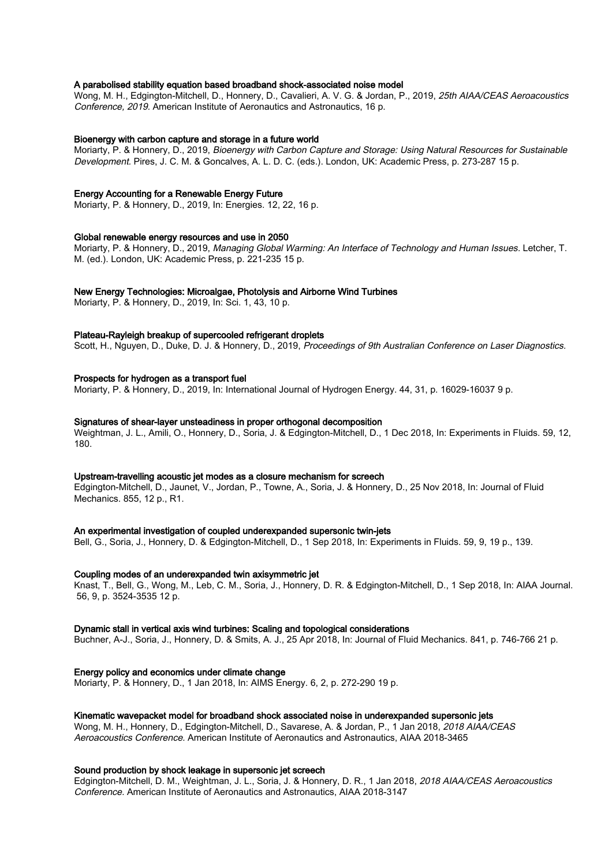# A parabolised stability equation based broadband shock-associated noise model

Wong, M. H., Edgington-Mitchell, D., Honnery, D., Cavalieri, A. V. G. & Jordan, P., 2019, 25th AIAA/CEAS Aeroacoustics Conference, 2019. American Institute of Aeronautics and Astronautics, 16 p.

### Bioenergy with carbon capture and storage in a future world

Moriarty, P. & Honnery, D., 2019, Bioenergy with Carbon Capture and Storage: Using Natural Resources for Sustainable Development. Pires, J. C. M. & Goncalves, A. L. D. C. (eds.). London, UK: Academic Press, p. 273-287 15 p.

# Energy Accounting for a Renewable Energy Future

Moriarty, P. & Honnery, D., 2019, In: Energies. 12, 22, 16 p.

# Global renewable energy resources and use in 2050

Moriarty, P. & Honnery, D., 2019, Managing Global Warming: An Interface of Technology and Human Issues. Letcher, T. M. (ed.). London, UK: Academic Press, p. 221-235 15 p.

# New Energy Technologies: Microalgae, Photolysis and Airborne Wind Turbines

Moriarty, P. & Honnery, D., 2019, In: Sci. 1, 43, 10 p.

# Plateau-Rayleigh breakup of supercooled refrigerant droplets

Scott, H., Nguyen, D., Duke, D. J. & Honnery, D., 2019, Proceedings of 9th Australian Conference on Laser Diagnostics.

# Prospects for hydrogen as a transport fuel

Moriarty, P. & Honnery, D., 2019, In: International Journal of Hydrogen Energy. 44, 31, p. 16029-16037 9 p.

# Signatures of shear-layer unsteadiness in proper orthogonal decomposition

Weightman, J. L., Amili, O., Honnery, D., Soria, J. & Edgington-Mitchell, D., 1 Dec 2018, In: Experiments in Fluids. 59, 12, 180.

### Upstream-travelling acoustic jet modes as a closure mechanism for screech

Edgington-Mitchell, D., Jaunet, V., Jordan, P., Towne, A., Soria, J. & Honnery, D., 25 Nov 2018, In: Journal of Fluid Mechanics. 855, 12 p., R1.

### An experimental investigation of coupled underexpanded supersonic twin-jets

Bell, G., Soria, J., Honnery, D. & Edgington-Mitchell, D., 1 Sep 2018, In: Experiments in Fluids. 59, 9, 19 p., 139.

### Coupling modes of an underexpanded twin axisymmetric jet

Knast, T., Bell, G., Wong, M., Leb, C. M., Soria, J., Honnery, D. R. & Edgington-Mitchell, D., 1 Sep 2018, In: AIAA Journal. 56, 9, p. 3524-3535 12 p.

### Dynamic stall in vertical axis wind turbines: Scaling and topological considerations

Buchner, A-J., Soria, J., Honnery, D. & Smits, A. J., 25 Apr 2018, In: Journal of Fluid Mechanics. 841, p. 746-766 21 p.

### Energy policy and economics under climate change

Moriarty, P. & Honnery, D., 1 Jan 2018, In: AIMS Energy. 6, 2, p. 272-290 19 p.

### Kinematic wavepacket model for broadband shock associated noise in underexpanded supersonic jets

Wong, M. H., Honnery, D., Edgington-Mitchell, D., Savarese, A. & Jordan, P., 1 Jan 2018, 2018 AIAA/CEAS Aeroacoustics Conference. American Institute of Aeronautics and Astronautics, AIAA 2018-3465

# Sound production by shock leakage in supersonic jet screech

Edgington-Mitchell, D. M., Weightman, J. L., Soria, J. & Honnery, D. R., 1 Jan 2018, 2018 AIAA/CEAS Aeroacoustics Conference. American Institute of Aeronautics and Astronautics, AIAA 2018-3147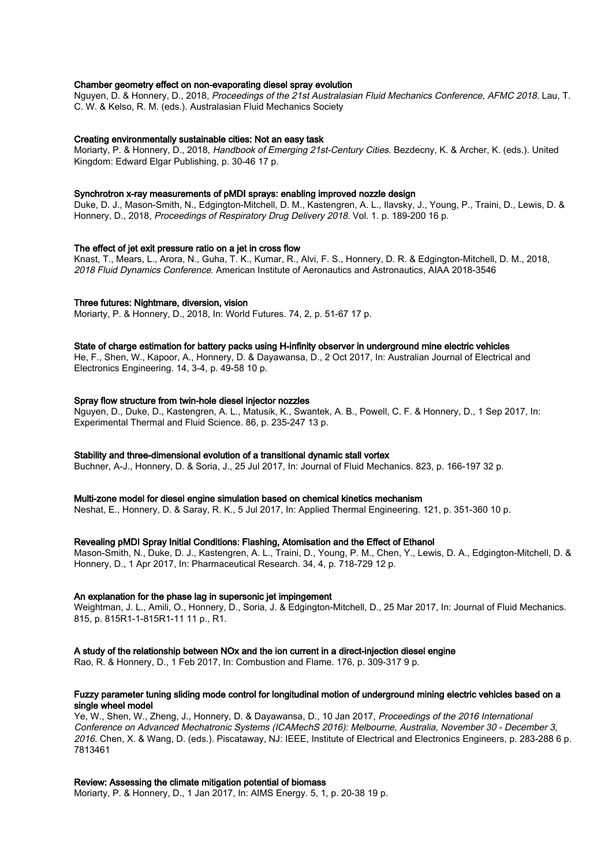# Chamber geometry effect on non-evaporating diesel spray evolution

Nguyen, D. & Honnery, D., 2018, Proceedings of the 21st Australasian Fluid Mechanics Conference, AFMC 2018. Lau, T. C. W. & Kelso, R. M. (eds.). Australasian Fluid Mechanics Society

### Creating environmentally sustainable cities: Not an easy task

Moriarty, P. & Honnery, D., 2018, Handbook of Emerging 21st-Century Cities. Bezdecny, K. & Archer, K. (eds.). United Kingdom: Edward Elgar Publishing, p. 30-46 17 p.

### Synchrotron x-ray measurements of pMDI sprays: enabling improved nozzle design

Duke, D. J., Mason-Smith, N., Edgington-Mitchell, D. M., Kastengren, A. L., Ilavsky, J., Young, P., Traini, D., Lewis, D. & Honnery, D., 2018, Proceedings of Respiratory Drug Delivery 2018. Vol. 1. p. 189-200 16 p.

### The effect of jet exit pressure ratio on a jet in cross flow

Knast, T., Mears, L., Arora, N., Guha, T. K., Kumar, R., Alvi, F. S., Honnery, D. R. & Edgington-Mitchell, D. M., 2018, 2018 Fluid Dynamics Conference. American Institute of Aeronautics and Astronautics, AIAA 2018-3546

### Three futures: Nightmare, diversion, vision

Moriarty, P. & Honnery, D., 2018, In: World Futures. 74, 2, p. 51-67 17 p.

### State of charge estimation for battery packs using H-infinity observer in underground mine electric vehicles

He, F., Shen, W., Kapoor, A., Honnery, D. & Dayawansa, D., 2 Oct 2017, In: Australian Journal of Electrical and Electronics Engineering. 14, 3-4, p. 49-58 10 p.

### Spray flow structure from twin-hole diesel injector nozzles

Nguyen, D., Duke, D., Kastengren, A. L., Matusik, K., Swantek, A. B., Powell, C. F. & Honnery, D., 1 Sep 2017, In: Experimental Thermal and Fluid Science. 86, p. 235-247 13 p.

# Stability and three-dimensional evolution of a transitional dynamic stall vortex

Buchner, A-J., Honnery, D. & Soria, J., 25 Jul 2017, In: Journal of Fluid Mechanics. 823, p. 166-197 32 p.

### Multi-zone model for diesel engine simulation based on chemical kinetics mechanism

Neshat, E., Honnery, D. & Saray, R. K., 5 Jul 2017, In: Applied Thermal Engineering. 121, p. 351-360 10 p.

### Revealing pMDI Spray Initial Conditions: Flashing, Atomisation and the Effect of Ethanol

Mason-Smith, N., Duke, D. J., Kastengren, A. L., Traini, D., Young, P. M., Chen, Y., Lewis, D. A., Edgington-Mitchell, D. & Honnery, D., 1 Apr 2017, In: Pharmaceutical Research. 34, 4, p. 718-729 12 p.

### An explanation for the phase lag in supersonic jet impingement

Weightman, J. L., Amili, O., Honnery, D., Soria, J. & Edgington-Mitchell, D., 25 Mar 2017, In: Journal of Fluid Mechanics. 815, p. 815R1-1-815R1-11 11 p., R1.

# A study of the relationship between NOx and the ion current in a direct-injection diesel engine

Rao, R. & Honnery, D., 1 Feb 2017, In: Combustion and Flame. 176, p. 309-317 9 p.

# Fuzzy parameter tuning sliding mode control for longitudinal motion of underground mining electric vehicles based on a single wheel model

Ye, W., Shen, W., Zheng, J., Honnery, D. & Dayawansa, D., 10 Jan 2017, Proceedings of the 2016 International Conference on Advanced Mechatronic Systems (ICAMechS 2016): Melbourne, Australia, November 30 - December 3, 2016. Chen, X. & Wang, D. (eds.). Piscataway, NJ: IEEE, Institute of Electrical and Electronics Engineers, p. 283-288 6 p. 7813461

# Review: Assessing the climate mitigation potential of biomass

Moriarty, P. & Honnery, D., 1 Jan 2017, In: AIMS Energy. 5, 1, p. 20-38 19 p.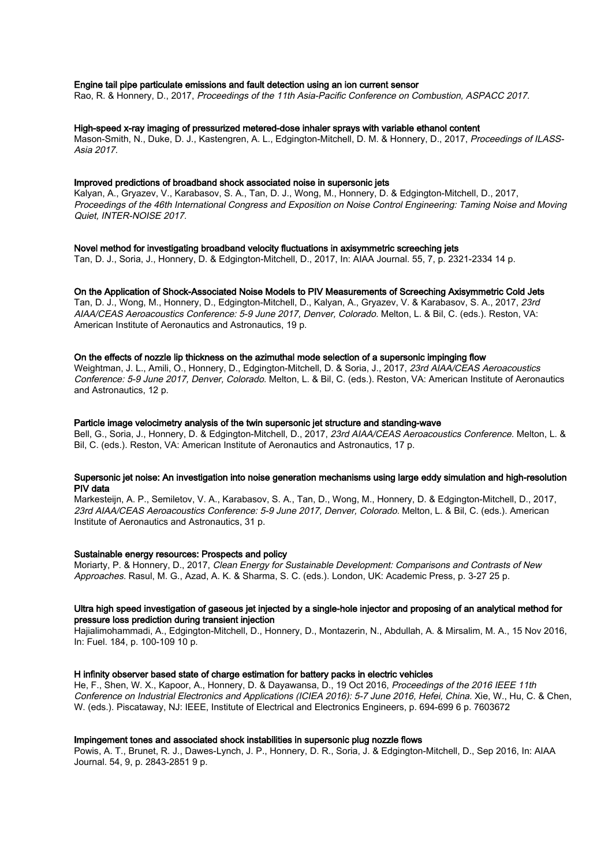### Engine tail pipe particulate emissions and fault detection using an ion current sensor

Rao, R. & Honnery, D., 2017, Proceedings of the 11th Asia-Pacific Conference on Combustion, ASPACC 2017.

### High-speed x-ray imaging of pressurized metered-dose inhaler sprays with variable ethanol content

Mason-Smith, N., Duke, D. J., Kastengren, A. L., Edgington-Mitchell, D. M. & Honnery, D., 2017, Proceedings of ILASS-Asia 2017.

# Improved predictions of broadband shock associated noise in supersonic jets

Kalyan, A., Gryazev, V., Karabasov, S. A., Tan, D. J., Wong, M., Honnery, D. & Edgington-Mitchell, D., 2017, Proceedings of the 46th International Congress and Exposition on Noise Control Engineering: Taming Noise and Moving Quiet, INTER-NOISE 2017.

### Novel method for investigating broadband velocity fluctuations in axisymmetric screeching jets

Tan, D. J., Soria, J., Honnery, D. & Edgington-Mitchell, D., 2017, In: AIAA Journal. 55, 7, p. 2321-2334 14 p.

### On the Application of Shock-Associated Noise Models to PIV Measurements of Screeching Axisymmetric Cold Jets

Tan, D. J., Wong, M., Honnery, D., Edgington-Mitchell, D., Kalyan, A., Gryazev, V. & Karabasov, S. A., 2017, 23rd AIAA/CEAS Aeroacoustics Conference: 5-9 June 2017, Denver, Colorado. Melton, L. & Bil, C. (eds.). Reston, VA: American Institute of Aeronautics and Astronautics, 19 p.

### On the effects of nozzle lip thickness on the azimuthal mode selection of a supersonic impinging flow

Weightman, J. L., Amili, O., Honnery, D., Edgington-Mitchell, D. & Soria, J., 2017, 23rd AIAA/CEAS Aeroacoustics Conference: 5-9 June 2017, Denver, Colorado. Melton, L. & Bil, C. (eds.). Reston, VA: American Institute of Aeronautics and Astronautics, 12 p.

# Particle image velocimetry analysis of the twin supersonic jet structure and standing-wave

Bell, G., Soria, J., Honnery, D. & Edgington-Mitchell, D., 2017, 23rd AIAA/CEAS Aeroacoustics Conference. Melton, L. & Bil, C. (eds.). Reston, VA: American Institute of Aeronautics and Astronautics, 17 p.

# Supersonic jet noise: An investigation into noise generation mechanisms using large eddy simulation and high-resolution PIV data

Markesteijn, A. P., Semiletov, V. A., Karabasov, S. A., Tan, D., Wong, M., Honnery, D. & Edgington-Mitchell, D., 2017, 23rd AIAA/CEAS Aeroacoustics Conference: 5-9 June 2017, Denver, Colorado. Melton, L. & Bil, C. (eds.). American Institute of Aeronautics and Astronautics, 31 p.

### Sustainable energy resources: Prospects and policy

Moriarty, P. & Honnery, D., 2017, Clean Energy for Sustainable Development: Comparisons and Contrasts of New Approaches. Rasul, M. G., Azad, A. K. & Sharma, S. C. (eds.). London, UK: Academic Press, p. 3-27 25 p.

## Ultra high speed investigation of gaseous jet injected by a single-hole injector and proposing of an analytical method for pressure loss prediction during transient injection

Hajialimohammadi, A., Edgington-Mitchell, D., Honnery, D., Montazerin, N., Abdullah, A. & Mirsalim, M. A., 15 Nov 2016, In: Fuel. 184, p. 100-109 10 p.

### H infinity observer based state of charge estimation for battery packs in electric vehicles

He, F., Shen, W. X., Kapoor, A., Honnery, D. & Dayawansa, D., 19 Oct 2016, Proceedings of the 2016 IEEE 11th Conference on Industrial Electronics and Applications (ICIEA 2016): 5-7 June 2016, Hefei, China. Xie, W., Hu, C. & Chen, W. (eds.). Piscataway, NJ: IEEE, Institute of Electrical and Electronics Engineers, p. 694-699 6 p. 7603672

### Impingement tones and associated shock instabilities in supersonic plug nozzle flows

Powis, A. T., Brunet, R. J., Dawes-Lynch, J. P., Honnery, D. R., Soria, J. & Edgington-Mitchell, D., Sep 2016, In: AIAA Journal. 54, 9, p. 2843-2851 9 p.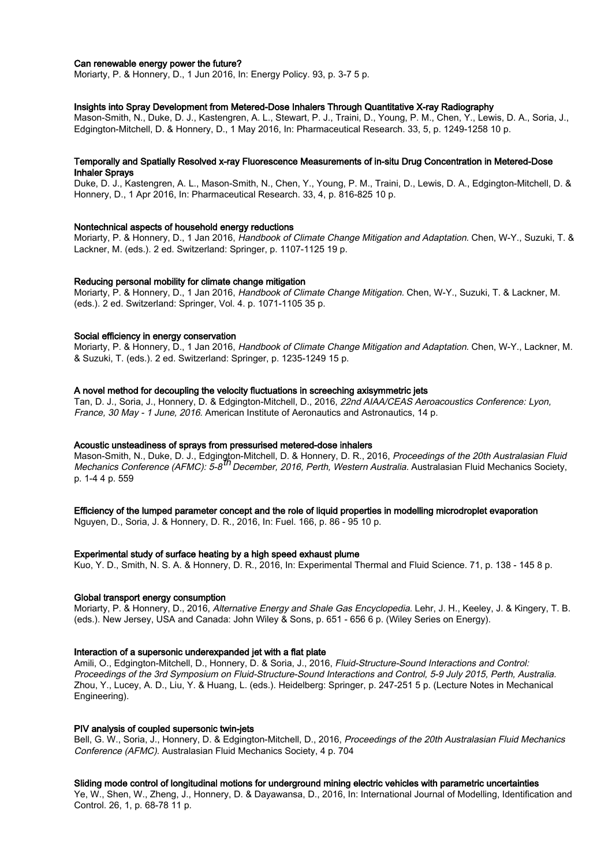# Can renewable energy power the future?

Moriarty, P. & Honnery, D., 1 Jun 2016, In: Energy Policy. 93, p. 3-7 5 p.

# Insights into Spray Development from Metered-Dose Inhalers Through Quantitative X-ray Radiography

Mason-Smith, N., Duke, D. J., Kastengren, A. L., Stewart, P. J., Traini, D., Young, P. M., Chen, Y., Lewis, D. A., Soria, J., Edgington-Mitchell, D. & Honnery, D., 1 May 2016, In: Pharmaceutical Research. 33, 5, p. 1249-1258 10 p.

# Temporally and Spatially Resolved x-ray Fluorescence Measurements of in-situ Drug Concentration in Metered-Dose Inhaler Sprays

Duke, D. J., Kastengren, A. L., Mason-Smith, N., Chen, Y., Young, P. M., Traini, D., Lewis, D. A., Edgington-Mitchell, D. & Honnery, D., 1 Apr 2016, In: Pharmaceutical Research. 33, 4, p. 816-825 10 p.

### Nontechnical aspects of household energy reductions

Moriarty, P. & Honnery, D., 1 Jan 2016, Handbook of Climate Change Mitigation and Adaptation. Chen, W-Y., Suzuki, T. & Lackner, M. (eds.). 2 ed. Switzerland: Springer, p. 1107-1125 19 p.

# Reducing personal mobility for climate change mitigation

Moriarty, P. & Honnery, D., 1 Jan 2016, Handbook of Climate Change Mitigation. Chen, W-Y., Suzuki, T. & Lackner, M. (eds.). 2 ed. Switzerland: Springer, Vol. 4. p. 1071-1105 35 p.

# Social efficiency in energy conservation

Moriarty, P. & Honnery, D., 1 Jan 2016, Handbook of Climate Change Mitigation and Adaptation. Chen, W-Y., Lackner, M. & Suzuki, T. (eds.). 2 ed. Switzerland: Springer, p. 1235-1249 15 p.

### A novel method for decoupling the velocity fluctuations in screeching axisymmetric jets

Tan, D. J., Soria, J., Honnery, D. & Edgington-Mitchell, D., 2016, 22nd AIAA/CEAS Aeroacoustics Conference: Lyon, France, 30 May - 1 June, 2016. American Institute of Aeronautics and Astronautics, 14 p.

# Acoustic unsteadiness of sprays from pressurised metered-dose inhalers

Mason-Smith, N., Duke, D. J., Edgington-Mitchell, D. & Honnery, D. R., 2016, *Proceedings of the 20th Australasian Fluid* mechanics Conference (AFMC): 5-8<sup>th</sup> December, 2016, Perth, Western Australia. Australasian Fluid Mechanics Society, p. 1-4 4 p. 559

### Efficiency of the lumped parameter concept and the role of liquid properties in modelling microdroplet evaporation

Nguyen, D., Soria, J. & Honnery, D. R., 2016, In: Fuel. 166, p. 86 - 95 10 p.

### Experimental study of surface heating by a high speed exhaust plume

Kuo, Y. D., Smith, N. S. A. & Honnery, D. R., 2016, In: Experimental Thermal and Fluid Science. 71, p. 138 - 145 8 p.

### Global transport energy consumption

Moriarty, P. & Honnery, D., 2016, Alternative Energy and Shale Gas Encyclopedia. Lehr, J. H., Keeley, J. & Kingery, T. B. (eds.). New Jersey, USA and Canada: John Wiley & Sons, p. 651 - 656 6 p. (Wiley Series on Energy).

# Interaction of a supersonic underexpanded jet with a flat plate

Amili, O., Edgington-Mitchell, D., Honnery, D. & Soria, J., 2016, Fluid-Structure-Sound Interactions and Control: Proceedings of the 3rd Symposium on Fluid-Structure-Sound Interactions and Control, 5-9 July 2015, Perth, Australia. Zhou, Y., Lucey, A. D., Liu, Y. & Huang, L. (eds.). Heidelberg: Springer, p. 247-251 5 p. (Lecture Notes in Mechanical Engineering).

# PIV analysis of coupled supersonic twin-jets

Bell, G. W., Soria, J., Honnery, D. & Edgington-Mitchell, D., 2016, Proceedings of the 20th Australasian Fluid Mechanics Conference (AFMC). Australasian Fluid Mechanics Society, 4 p. 704

# Sliding mode control of longitudinal motions for underground mining electric vehicles with parametric uncertainties

Ye, W., Shen, W., Zheng, J., Honnery, D. & Dayawansa, D., 2016, In: International Journal of Modelling, Identification and Control. 26, 1, p. 68-78 11 p.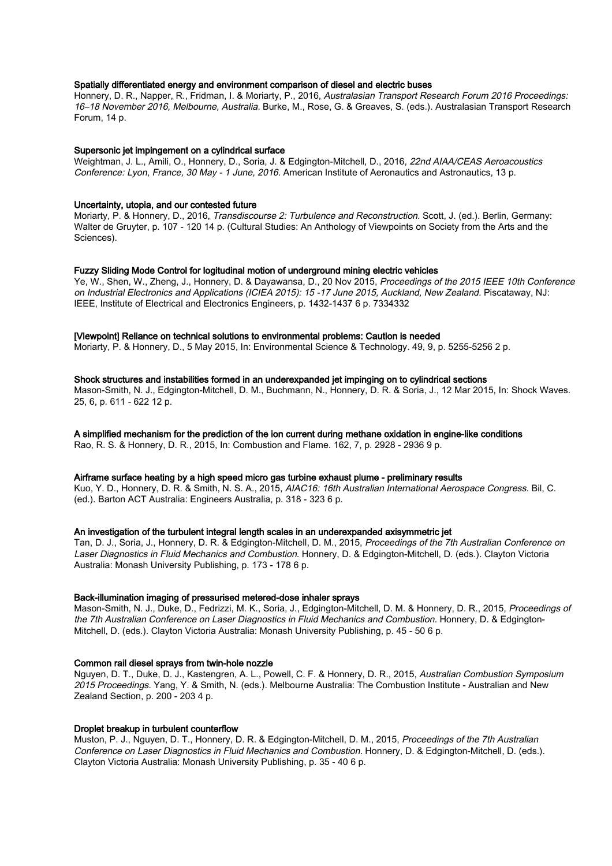# Spatially differentiated energy and environment comparison of diesel and electric buses

Honnery, D. R., Napper, R., Fridman, I. & Moriarty, P., 2016, Australasian Transport Research Forum 2016 Proceedings: 16–18 November 2016, Melbourne, Australia. Burke, M., Rose, G. & Greaves, S. (eds.). Australasian Transport Research Forum, 14 p.

### Supersonic jet impingement on a cylindrical surface

Weightman, J. L., Amili, O., Honnery, D., Soria, J. & Edgington-Mitchell, D., 2016, 22nd AIAA/CEAS Aeroacoustics Conference: Lyon, France, 30 May - 1 June, 2016. American Institute of Aeronautics and Astronautics, 13 p.

# Uncertainty, utopia, and our contested future

Moriarty, P. & Honnery, D., 2016, Transdiscourse 2: Turbulence and Reconstruction. Scott, J. (ed.). Berlin, Germany: Walter de Gruyter, p. 107 - 120 14 p. (Cultural Studies: An Anthology of Viewpoints on Society from the Arts and the Sciences).

### Fuzzy Sliding Mode Control for logitudinal motion of underground mining electric vehicles

Ye, W., Shen, W., Zheng, J., Honnery, D. & Dayawansa, D., 20 Nov 2015, Proceedings of the 2015 IEEE 10th Conference on Industrial Electronics and Applications (ICIEA 2015): 15 -17 June 2015, Auckland, New Zealand. Piscataway, NJ: IEEE, Institute of Electrical and Electronics Engineers, p. 1432-1437 6 p. 7334332

# [Viewpoint] Reliance on technical solutions to environmental problems: Caution is needed

Moriarty, P. & Honnery, D., 5 May 2015, In: Environmental Science & Technology. 49, 9, p. 5255-5256 2 p.

### Shock structures and instabilities formed in an underexpanded jet impinging on to cylindrical sections

Mason-Smith, N. J., Edgington-Mitchell, D. M., Buchmann, N., Honnery, D. R. & Soria, J., 12 Mar 2015, In: Shock Waves. 25, 6, p. 611 - 622 12 p.

# A simplified mechanism for the prediction of the ion current during methane oxidation in engine-like conditions

Rao, R. S. & Honnery, D. R., 2015, In: Combustion and Flame. 162, 7, p. 2928 - 2936 9 p.

# Airframe surface heating by a high speed micro gas turbine exhaust plume - preliminary results

Kuo, Y. D., Honnery, D. R. & Smith, N. S. A., 2015, AIAC16: 16th Australian International Aerospace Congress. Bil, C. (ed.). Barton ACT Australia: Engineers Australia, p. 318 - 323 6 p.

### An investigation of the turbulent integral length scales in an underexpanded axisymmetric jet

Tan, D. J., Soria, J., Honnery, D. R. & Edgington-Mitchell, D. M., 2015, Proceedings of the 7th Australian Conference on Laser Diagnostics in Fluid Mechanics and Combustion. Honnery, D. & Edgington-Mitchell, D. (eds.). Clayton Victoria Australia: Monash University Publishing, p. 173 - 178 6 p.

### Back-illumination imaging of pressurised metered-dose inhaler sprays

Mason-Smith, N. J., Duke, D., Fedrizzi, M. K., Soria, J., Edgington-Mitchell, D. M. & Honnery, D. R., 2015, Proceedings of the 7th Australian Conference on Laser Diagnostics in Fluid Mechanics and Combustion. Honnery, D. & Edgington-Mitchell, D. (eds.). Clayton Victoria Australia: Monash University Publishing, p. 45 - 50 6 p.

### Common rail diesel sprays from twin-hole nozzle

Nguyen, D. T., Duke, D. J., Kastengren, A. L., Powell, C. F. & Honnery, D. R., 2015, Australian Combustion Symposium 2015 Proceedings. Yang, Y. & Smith, N. (eds.). Melbourne Australia: The Combustion Institute - Australian and New Zealand Section, p. 200 - 203 4 p.

# Droplet breakup in turbulent counterflow

Muston, P. J., Nguyen, D. T., Honnery, D. R. & Edgington-Mitchell, D. M., 2015, Proceedings of the 7th Australian Conference on Laser Diagnostics in Fluid Mechanics and Combustion. Honnery, D. & Edgington-Mitchell, D. (eds.). Clayton Victoria Australia: Monash University Publishing, p. 35 - 40 6 p.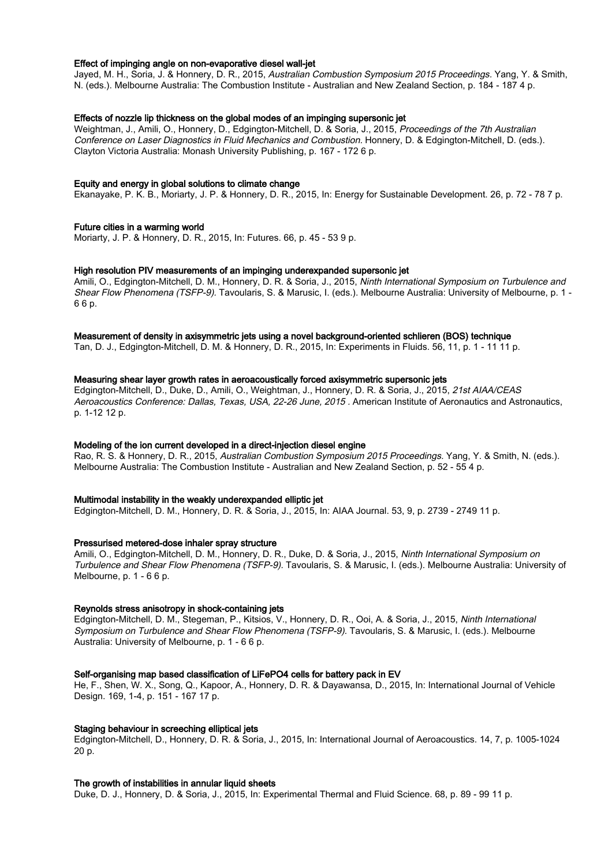### Effect of impinging angle on non-evaporative diesel wall-jet

Jayed, M. H., Soria, J. & Honnery, D. R., 2015, Australian Combustion Symposium 2015 Proceedings. Yang, Y. & Smith, N. (eds.). Melbourne Australia: The Combustion Institute - Australian and New Zealand Section, p. 184 - 187 4 p.

# Effects of nozzle lip thickness on the global modes of an impinging supersonic jet

Weightman, J., Amili, O., Honnery, D., Edgington-Mitchell, D. & Soria, J., 2015, Proceedings of the 7th Australian Conference on Laser Diagnostics in Fluid Mechanics and Combustion. Honnery, D. & Edgington-Mitchell, D. (eds.). Clayton Victoria Australia: Monash University Publishing, p. 167 - 172 6 p.

# Equity and energy in global solutions to climate change

Ekanayake, P. K. B., Moriarty, J. P. & Honnery, D. R., 2015, In: Energy for Sustainable Development. 26, p. 72 - 78 7 p.

### Future cities in a warming world

Moriarty, J. P. & Honnery, D. R., 2015, In: Futures. 66, p. 45 - 53 9 p.

### High resolution PIV measurements of an impinging underexpanded supersonic jet

Amili, O., Edgington-Mitchell, D. M., Honnery, D. R. & Soria, J., 2015, Ninth International Symposium on Turbulence and Shear Flow Phenomena (TSFP-9). Tavoularis, S. & Marusic, I. (eds.). Melbourne Australia: University of Melbourne, p. 1 - 6 6 p.

# Measurement of density in axisymmetric jets using a novel background-oriented schlieren (BOS) technique

Tan, D. J., Edgington-Mitchell, D. M. & Honnery, D. R., 2015, In: Experiments in Fluids. 56, 11, p. 1 - 11 11 p.

# Measuring shear layer growth rates in aeroacoustically forced axisymmetric supersonic jets

Edgington-Mitchell, D., Duke, D., Amili, O., Weightman, J., Honnery, D. R. & Soria, J., 2015, 21st AIAA/CEAS Aeroacoustics Conference: Dallas, Texas, USA, 22-26 June, 2015 . American Institute of Aeronautics and Astronautics, p. 1-12 12 p.

### Modeling of the ion current developed in a direct-injection diesel engine

Rao, R. S. & Honnery, D. R., 2015, Australian Combustion Symposium 2015 Proceedings. Yang, Y. & Smith, N. (eds.). Melbourne Australia: The Combustion Institute - Australian and New Zealand Section, p. 52 - 55 4 p.

### Multimodal instability in the weakly underexpanded elliptic jet

Edgington-Mitchell, D. M., Honnery, D. R. & Soria, J., 2015, In: AIAA Journal. 53, 9, p. 2739 - 2749 11 p.

### Pressurised metered-dose inhaler spray structure

Amili, O., Edgington-Mitchell, D. M., Honnery, D. R., Duke, D. & Soria, J., 2015, Ninth International Symposium on Turbulence and Shear Flow Phenomena (TSFP-9). Tavoularis, S. & Marusic, I. (eds.). Melbourne Australia: University of Melbourne, p. 1 - 6 6 p.

### Reynolds stress anisotropy in shock-containing jets

Edgington-Mitchell, D. M., Stegeman, P., Kitsios, V., Honnery, D. R., Ooi, A. & Soria, J., 2015, Ninth International Symposium on Turbulence and Shear Flow Phenomena (TSFP-9). Tavoularis, S. & Marusic, I. (eds.). Melbourne Australia: University of Melbourne, p. 1 - 6 6 p.

### Self-organising map based classification of LiFePO4 cells for battery pack in EV

He, F., Shen, W. X., Song, Q., Kapoor, A., Honnery, D. R. & Dayawansa, D., 2015, In: International Journal of Vehicle Design. 169, 1-4, p. 151 - 167 17 p.

### Staging behaviour in screeching elliptical jets

Edgington-Mitchell, D., Honnery, D. R. & Soria, J., 2015, In: International Journal of Aeroacoustics. 14, 7, p. 1005-1024 20 p.

# The growth of instabilities in annular liquid sheets

Duke, D. J., Honnery, D. & Soria, J., 2015, In: Experimental Thermal and Fluid Science. 68, p. 89 - 99 11 p.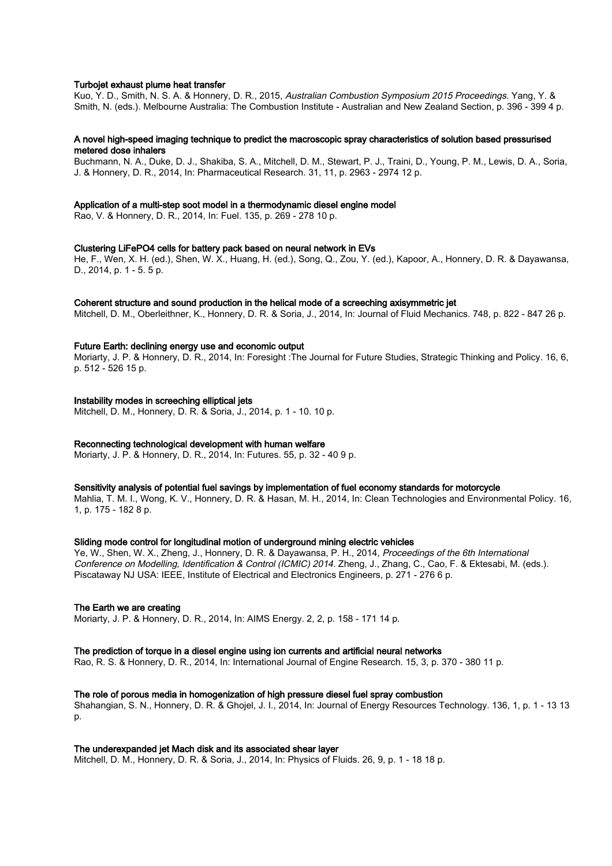# Turbojet exhaust plume heat transfer

Kuo, Y. D., Smith, N. S. A. & Honnery, D. R., 2015, Australian Combustion Symposium 2015 Proceedings. Yang, Y. & Smith, N. (eds.). Melbourne Australia: The Combustion Institute - Australian and New Zealand Section, p. 396 - 399 4 p.

# A novel high-speed imaging technique to predict the macroscopic spray characteristics of solution based pressurised metered dose inhalers

Buchmann, N. A., Duke, D. J., Shakiba, S. A., Mitchell, D. M., Stewart, P. J., Traini, D., Young, P. M., Lewis, D. A., Soria, J. & Honnery, D. R., 2014, In: Pharmaceutical Research. 31, 11, p. 2963 - 2974 12 p.

### Application of a multi-step soot model in a thermodynamic diesel engine model

Rao, V. & Honnery, D. R., 2014, In: Fuel. 135, p. 269 - 278 10 p.

### Clustering LiFePO4 cells for battery pack based on neural network in EVs

He, F., Wen, X. H. (ed.), Shen, W. X., Huang, H. (ed.), Song, Q., Zou, Y. (ed.), Kapoor, A., Honnery, D. R. & Dayawansa, D., 2014, p. 1 - 5. 5 p.

### Coherent structure and sound production in the helical mode of a screeching axisymmetric jet

Mitchell, D. M., Oberleithner, K., Honnery, D. R. & Soria, J., 2014, In: Journal of Fluid Mechanics. 748, p. 822 - 847 26 p.

### Future Earth: declining energy use and economic output

Moriarty, J. P. & Honnery, D. R., 2014, In: Foresight :The Journal for Future Studies, Strategic Thinking and Policy. 16, 6, p. 512 - 526 15 p.

# Instability modes in screeching elliptical jets

Mitchell, D. M., Honnery, D. R. & Soria, J., 2014, p. 1 - 10. 10 p.

# Reconnecting technological development with human welfare

Moriarty, J. P. & Honnery, D. R., 2014, In: Futures. 55, p. 32 - 40 9 p.

### Sensitivity analysis of potential fuel savings by implementation of fuel economy standards for motorcycle

Mahlia, T. M. I., Wong, K. V., Honnery, D. R. & Hasan, M. H., 2014, In: Clean Technologies and Environmental Policy. 16, 1, p. 175 - 182 8 p.

### Sliding mode control for longitudinal motion of underground mining electric vehicles

Ye, W., Shen, W. X., Zheng, J., Honnery, D. R. & Dayawansa, P. H., 2014, Proceedings of the 6th International Conference on Modelling, Identification & Control (ICMIC) 2014. Zheng, J., Zhang, C., Cao, F. & Ektesabi, M. (eds.). Piscataway NJ USA: IEEE, Institute of Electrical and Electronics Engineers, p. 271 - 276 6 p.

# The Earth we are creating

Moriarty, J. P. & Honnery, D. R., 2014, In: AIMS Energy. 2, 2, p. 158 - 171 14 p.

# The prediction of torque in a diesel engine using ion currents and artificial neural networks

Rao, R. S. & Honnery, D. R., 2014, In: International Journal of Engine Research. 15, 3, p. 370 - 380 11 p.

# The role of porous media in homogenization of high pressure diesel fuel spray combustion

Shahangian, S. N., Honnery, D. R. & Ghojel, J. I., 2014, In: Journal of Energy Resources Technology. 136, 1, p. 1 - 13 13 p.

### The underexpanded jet Mach disk and its associated shear layer

Mitchell, D. M., Honnery, D. R. & Soria, J., 2014, In: Physics of Fluids. 26, 9, p. 1 - 18 18 p.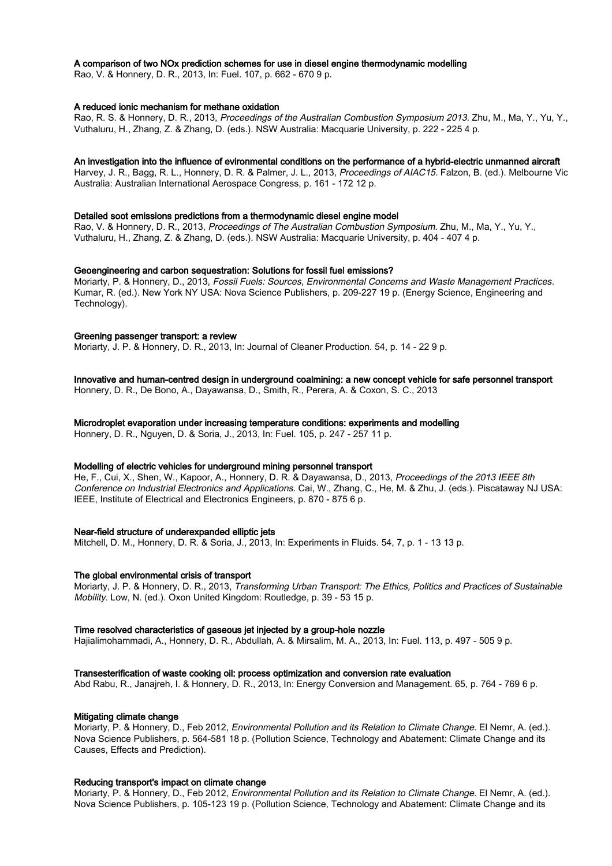# A comparison of two NOx prediction schemes for use in diesel engine thermodynamic modelling

Rao, V. & Honnery, D. R., 2013, In: Fuel. 107, p. 662 - 670 9 p.

# A reduced ionic mechanism for methane oxidation

Rao, R. S. & Honnery, D. R., 2013, Proceedings of the Australian Combustion Symposium 2013. Zhu, M., Ma, Y., Yu, Y., Vuthaluru, H., Zhang, Z. & Zhang, D. (eds.). NSW Australia: Macquarie University, p. 222 - 225 4 p.

### An investigation into the influence of evironmental conditions on the performance of a hybrid-electric unmanned aircraft

Harvey, J. R., Bagg, R. L., Honnery, D. R. & Palmer, J. L., 2013, Proceedings of AIAC15. Falzon, B. (ed.). Melbourne Vic Australia: Australian International Aerospace Congress, p. 161 - 172 12 p.

### Detailed soot emissions predictions from a thermodynamic diesel engine model

Rao, V. & Honnery, D. R., 2013, Proceedings of The Australian Combustion Symposium. Zhu, M., Ma, Y., Yu, Y., Vuthaluru, H., Zhang, Z. & Zhang, D. (eds.). NSW Australia: Macquarie University, p. 404 - 407 4 p.

### Geoengineering and carbon sequestration: Solutions for fossil fuel emissions?

Moriarty, P. & Honnery, D., 2013, Fossil Fuels: Sources, Environmental Concerns and Waste Management Practices. Kumar, R. (ed.). New York NY USA: Nova Science Publishers, p. 209-227 19 p. (Energy Science, Engineering and Technology).

### Greening passenger transport: a review

Moriarty, J. P. & Honnery, D. R., 2013, In: Journal of Cleaner Production. 54, p. 14 - 22 9 p.

# Innovative and human-centred design in underground coalmining: a new concept vehicle for safe personnel transport

Honnery, D. R., De Bono, A., Dayawansa, D., Smith, R., Perera, A. & Coxon, S. C., 2013

# Microdroplet evaporation under increasing temperature conditions: experiments and modelling

Honnery, D. R., Nguyen, D. & Soria, J., 2013, In: Fuel. 105, p. 247 - 257 11 p.

# Modelling of electric vehicles for underground mining personnel transport

He, F., Cui, X., Shen, W., Kapoor, A., Honnery, D. R. & Dayawansa, D., 2013, Proceedings of the 2013 IEEE 8th Conference on Industrial Electronics and Applications. Cai, W., Zhang, C., He, M. & Zhu, J. (eds.). Piscataway NJ USA: IEEE, Institute of Electrical and Electronics Engineers, p. 870 - 875 6 p.

# Near-field structure of underexpanded elliptic jets

Mitchell, D. M., Honnery, D. R. & Soria, J., 2013, In: Experiments in Fluids. 54, 7, p. 1 - 13 13 p.

### The global environmental crisis of transport

Moriarty, J. P. & Honnery, D. R., 2013, Transforming Urban Transport: The Ethics, Politics and Practices of Sustainable Mobility. Low, N. (ed.). Oxon United Kingdom: Routledge, p. 39 - 53 15 p.

# Time resolved characteristics of gaseous jet injected by a group-hole nozzle

Hajialimohammadi, A., Honnery, D. R., Abdullah, A. & Mirsalim, M. A., 2013, In: Fuel. 113, p. 497 - 505 9 p.

### Transesterification of waste cooking oil: process optimization and conversion rate evaluation

Abd Rabu, R., Janajreh, I. & Honnery, D. R., 2013, In: Energy Conversion and Management. 65, p. 764 - 769 6 p.

# Mitigating climate change

Moriarty, P. & Honnery, D., Feb 2012, Environmental Pollution and its Relation to Climate Change. El Nemr, A. (ed.). Nova Science Publishers, p. 564-581 18 p. (Pollution Science, Technology and Abatement: Climate Change and its Causes, Effects and Prediction).

# Reducing transport's impact on climate change

Moriarty, P. & Honnery, D., Feb 2012, Environmental Pollution and its Relation to Climate Change. El Nemr, A. (ed.). Nova Science Publishers, p. 105-123 19 p. (Pollution Science, Technology and Abatement: Climate Change and its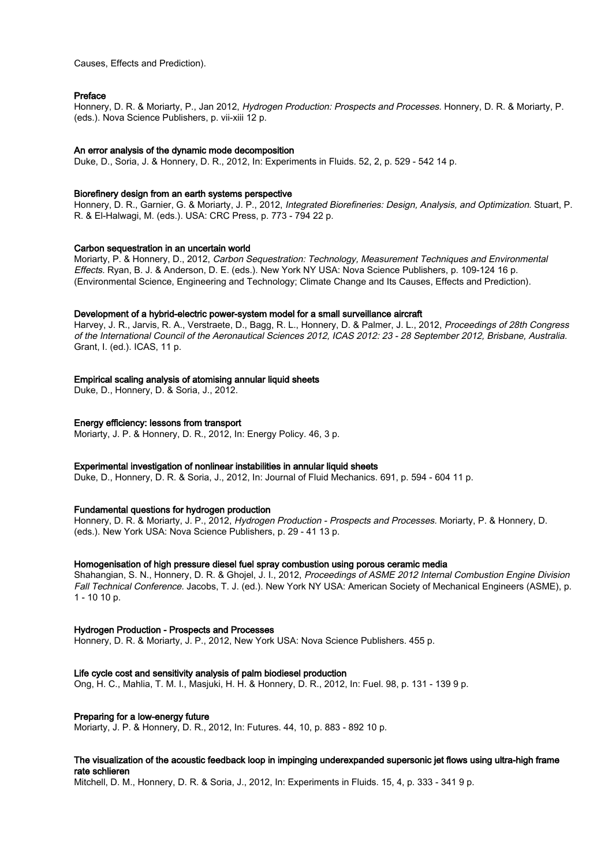Causes, Effects and Prediction).

### Preface

Honnery, D. R. & Moriarty, P., Jan 2012, Hydrogen Production: Prospects and Processes. Honnery, D. R. & Moriarty, P. (eds.). Nova Science Publishers, p. vii-xiii 12 p.

### An error analysis of the dynamic mode decomposition

Duke, D., Soria, J. & Honnery, D. R., 2012, In: Experiments in Fluids. 52, 2, p. 529 - 542 14 p.

### Biorefinery design from an earth systems perspective

Honnery, D. R., Garnier, G. & Moriarty, J. P., 2012, Integrated Biorefineries: Design, Analysis, and Optimization. Stuart, P. R. & El-Halwagi, M. (eds.). USA: CRC Press, p. 773 - 794 22 p.

# Carbon sequestration in an uncertain world

Moriarty, P. & Honnery, D., 2012, Carbon Sequestration: Technology, Measurement Techniques and Environmental Effects. Ryan, B. J. & Anderson, D. E. (eds.). New York NY USA: Nova Science Publishers, p. 109-124 16 p. (Environmental Science, Engineering and Technology; Climate Change and Its Causes, Effects and Prediction).

### Development of a hybrid-electric power-system model for a small surveillance aircraft

Harvey, J. R., Jarvis, R. A., Verstraete, D., Bagg, R. L., Honnery, D. & Palmer, J. L., 2012, Proceedings of 28th Congress of the International Council of the Aeronautical Sciences 2012, ICAS 2012: 23 - 28 September 2012, Brisbane, Australia. Grant, I. (ed.). ICAS, 11 p.

## Empirical scaling analysis of atomising annular liquid sheets

Duke, D., Honnery, D. & Soria, J., 2012.

### Energy efficiency: lessons from transport

Moriarty, J. P. & Honnery, D. R., 2012, In: Energy Policy. 46, 3 p.

# Experimental investigation of nonlinear instabilities in annular liquid sheets

Duke, D., Honnery, D. R. & Soria, J., 2012, In: Journal of Fluid Mechanics. 691, p. 594 - 604 11 p.

# Fundamental questions for hydrogen production

Honnery, D. R. & Moriarty, J. P., 2012, Hydrogen Production - Prospects and Processes. Moriarty, P. & Honnery, D. (eds.). New York USA: Nova Science Publishers, p. 29 - 41 13 p.

# Homogenisation of high pressure diesel fuel spray combustion using porous ceramic media

Shahangian, S. N., Honnery, D. R. & Ghojel, J. I., 2012, Proceedings of ASME 2012 Internal Combustion Engine Division Fall Technical Conference. Jacobs, T. J. (ed.). New York NY USA: American Society of Mechanical Engineers (ASME), p. 1 - 10 10 p.

### Hydrogen Production - Prospects and Processes

Honnery, D. R. & Moriarty, J. P., 2012, New York USA: Nova Science Publishers. 455 p.

### Life cycle cost and sensitivity analysis of palm biodiesel production

Ong, H. C., Mahlia, T. M. I., Masjuki, H. H. & Honnery, D. R., 2012, In: Fuel. 98, p. 131 - 139 9 p.

# Preparing for a low-energy future

Moriarty, J. P. & Honnery, D. R., 2012, In: Futures. 44, 10, p. 883 - 892 10 p.

# The visualization of the acoustic feedback loop in impinging underexpanded supersonic jet flows using ultra-high frame rate schlieren

Mitchell, D. M., Honnery, D. R. & Soria, J., 2012, In: Experiments in Fluids. 15, 4, p. 333 - 341 9 p.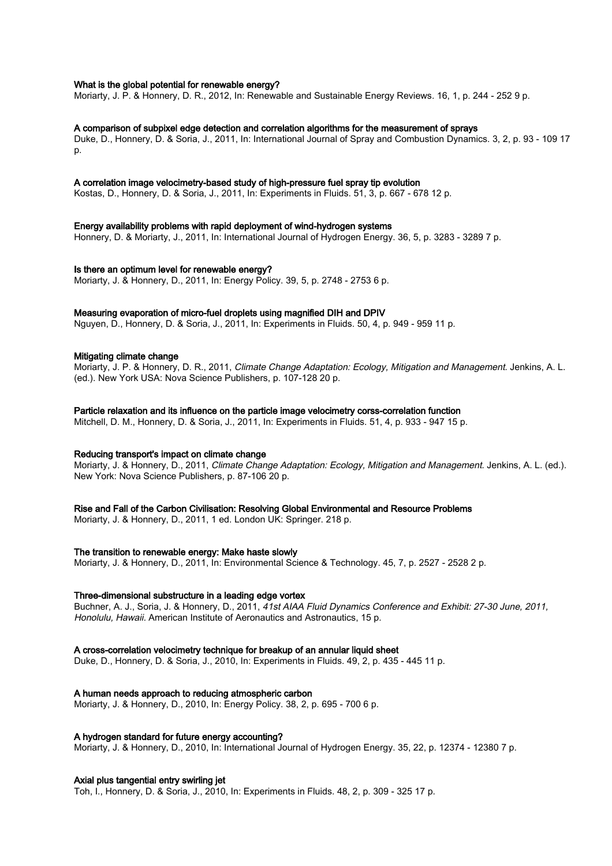# What is the global potential for renewable energy?

Moriarty, J. P. & Honnery, D. R., 2012, In: Renewable and Sustainable Energy Reviews. 16, 1, p. 244 - 252 9 p.

# A comparison of subpixel edge detection and correlation algorithms for the measurement of sprays

Duke, D., Honnery, D. & Soria, J., 2011, In: International Journal of Spray and Combustion Dynamics. 3, 2, p. 93 - 109 17 p.

### A correlation image velocimetry-based study of high-pressure fuel spray tip evolution

Kostas, D., Honnery, D. & Soria, J., 2011, In: Experiments in Fluids. 51, 3, p. 667 - 678 12 p.

### Energy availability problems with rapid deployment of wind-hydrogen systems

Honnery, D. & Moriarty, J., 2011, In: International Journal of Hydrogen Energy. 36, 5, p. 3283 - 3289 7 p.

### Is there an optimum level for renewable energy?

Moriarty, J. & Honnery, D., 2011, In: Energy Policy. 39, 5, p. 2748 - 2753 6 p.

# Measuring evaporation of micro-fuel droplets using magnified DIH and DPIV

Nguyen, D., Honnery, D. & Soria, J., 2011, In: Experiments in Fluids. 50, 4, p. 949 - 959 11 p.

### Mitigating climate change

Moriarty, J. P. & Honnery, D. R., 2011, Climate Change Adaptation: Ecology, Mitigation and Management, Jenkins, A. L. (ed.). New York USA: Nova Science Publishers, p. 107-128 20 p.

### Particle relaxation and its influence on the particle image velocimetry corss-correlation function

Mitchell, D. M., Honnery, D. & Soria, J., 2011, In: Experiments in Fluids. 51, 4, p. 933 - 947 15 p.

# Reducing transport's impact on climate change

Moriarty, J. & Honnery, D., 2011, Climate Change Adaptation: Ecology, Mitigation and Management. Jenkins, A. L. (ed.). New York: Nova Science Publishers, p. 87-106 20 p.

### Rise and Fall of the Carbon Civilisation: Resolving Global Environmental and Resource Problems

Moriarty, J. & Honnery, D., 2011, 1 ed. London UK: Springer. 218 p.

## The transition to renewable energy: Make haste slowly

Moriarty, J. & Honnery, D., 2011, In: Environmental Science & Technology. 45, 7, p. 2527 - 2528 2 p.

### Three-dimensional substructure in a leading edge vortex

Buchner, A. J., Soria, J. & Honnery, D., 2011, 41st AIAA Fluid Dynamics Conference and Exhibit: 27-30 June, 2011, Honolulu, Hawaii. American Institute of Aeronautics and Astronautics, 15 p.

### A cross-correlation velocimetry technique for breakup of an annular liquid sheet

Duke, D., Honnery, D. & Soria, J., 2010, In: Experiments in Fluids. 49, 2, p. 435 - 445 11 p.

### A human needs approach to reducing atmospheric carbon

Moriarty, J. & Honnery, D., 2010, In: Energy Policy. 38, 2, p. 695 - 700 6 p.

# A hydrogen standard for future energy accounting?

Moriarty, J. & Honnery, D., 2010, In: International Journal of Hydrogen Energy. 35, 22, p. 12374 - 12380 7 p.

### Axial plus tangential entry swirling jet

Toh, I., Honnery, D. & Soria, J., 2010, In: Experiments in Fluids. 48, 2, p. 309 - 325 17 p.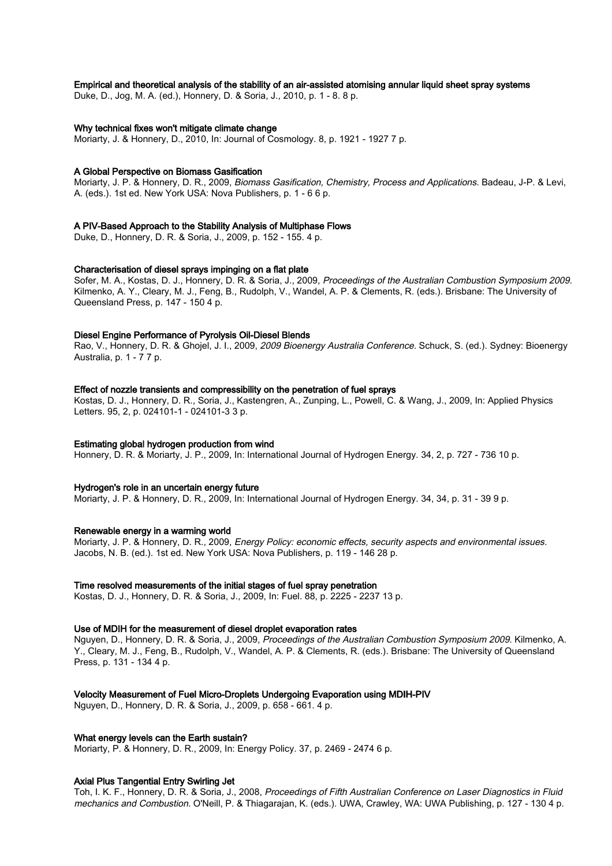# Empirical and theoretical analysis of the stability of an air-assisted atomising annular liquid sheet spray systems

Duke, D., Jog, M. A. (ed.), Honnery, D. & Soria, J., 2010, p. 1 - 8. 8 p.

### Why technical fixes won't mitigate climate change

Moriarty, J. & Honnery, D., 2010, In: Journal of Cosmology. 8, p. 1921 - 1927 7 p.

### A Global Perspective on Biomass Gasification

Moriarty, J. P. & Honnery, D. R., 2009, Biomass Gasification, Chemistry, Process and Applications. Badeau, J-P. & Levi, A. (eds.). 1st ed. New York USA: Nova Publishers, p. 1 - 6 6 p.

### A PIV-Based Approach to the Stability Analysis of Multiphase Flows

Duke, D., Honnery, D. R. & Soria, J., 2009, p. 152 - 155. 4 p.

# Characterisation of diesel sprays impinging on a flat plate

Sofer, M. A., Kostas, D. J., Honnery, D. R. & Soria, J., 2009, Proceedings of the Australian Combustion Symposium 2009. Kilmenko, A. Y., Cleary, M. J., Feng, B., Rudolph, V., Wandel, A. P. & Clements, R. (eds.). Brisbane: The University of Queensland Press, p. 147 - 150 4 p.

# Diesel Engine Performance of Pyrolysis Oil-Diesel Blends

Rao, V., Honnery, D. R. & Ghojel, J. I., 2009, 2009 Bioenergy Australia Conference. Schuck, S. (ed.). Sydney: Bioenergy Australia, p. 1 - 7 7 p.

### Effect of nozzle transients and compressibility on the penetration of fuel sprays

Kostas, D. J., Honnery, D. R., Soria, J., Kastengren, A., Zunping, L., Powell, C. & Wang, J., 2009, In: Applied Physics Letters. 95, 2, p. 024101-1 - 024101-3 3 p.

### Estimating global hydrogen production from wind

Honnery, D. R. & Moriarty, J. P., 2009, In: International Journal of Hydrogen Energy. 34, 2, p. 727 - 736 10 p.

### Hydrogen's role in an uncertain energy future

Moriarty, J. P. & Honnery, D. R., 2009, In: International Journal of Hydrogen Energy. 34, 34, p. 31 - 39 9 p.

### Renewable energy in a warming world

Moriarty, J. P. & Honnery, D. R., 2009, Energy Policy: economic effects, security aspects and environmental issues. Jacobs, N. B. (ed.). 1st ed. New York USA: Nova Publishers, p. 119 - 146 28 p.

### Time resolved measurements of the initial stages of fuel spray penetration

Kostas, D. J., Honnery, D. R. & Soria, J., 2009, In: Fuel. 88, p. 2225 - 2237 13 p.

### Use of MDIH for the measurement of diesel droplet evaporation rates

Nguyen, D., Honnery, D. R. & Soria, J., 2009, Proceedings of the Australian Combustion Symposium 2009. Kilmenko, A. Y., Cleary, M. J., Feng, B., Rudolph, V., Wandel, A. P. & Clements, R. (eds.). Brisbane: The University of Queensland Press, p. 131 - 134 4 p.

### Velocity Measurement of Fuel Micro-Droplets Undergoing Evaporation using MDIH-PIV

Nguyen, D., Honnery, D. R. & Soria, J., 2009, p. 658 - 661. 4 p.

### What energy levels can the Earth sustain?

Moriarty, P. & Honnery, D. R., 2009, In: Energy Policy. 37, p. 2469 - 2474 6 p.

### Axial Plus Tangential Entry Swirling Jet

Toh, I. K. F., Honnery, D. R. & Soria, J., 2008, Proceedings of Fifth Australian Conference on Laser Diagnostics in Fluid mechanics and Combustion. O'Neill, P. & Thiagarajan, K. (eds.). UWA, Crawley, WA: UWA Publishing, p. 127 - 130 4 p.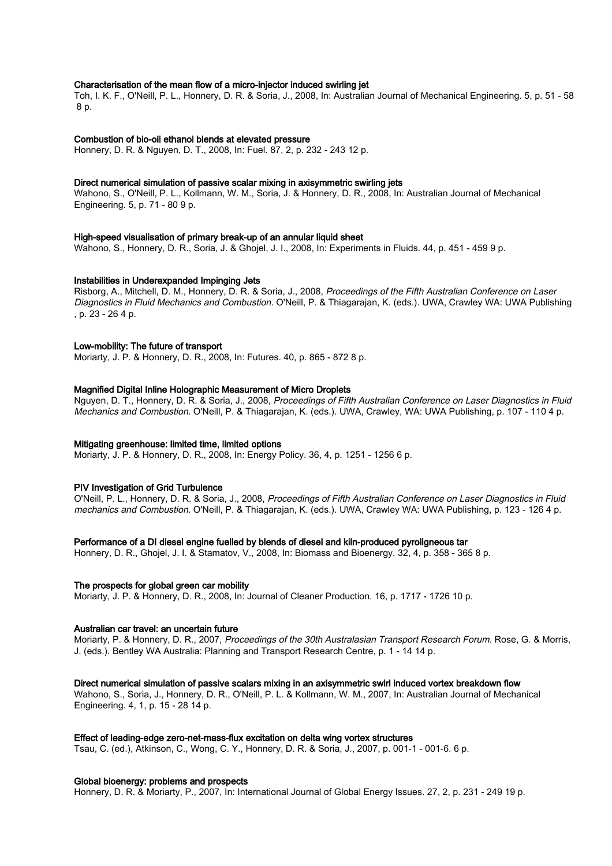# Characterisation of the mean flow of a micro-injector induced swirling jet

Toh, I. K. F., O'Neill, P. L., Honnery, D. R. & Soria, J., 2008, In: Australian Journal of Mechanical Engineering. 5, p. 51 - 58 8 p.

#### Combustion of bio-oil ethanol blends at elevated pressure

Honnery, D. R. & Nguyen, D. T., 2008, In: Fuel. 87, 2, p. 232 - 243 12 p.

### Direct numerical simulation of passive scalar mixing in axisymmetric swirling jets

Wahono, S., O'Neill, P. L., Kollmann, W. M., Soria, J. & Honnery, D. R., 2008, In: Australian Journal of Mechanical Engineering. 5, p. 71 - 80 9 p.

# High-speed visualisation of primary break-up of an annular liquid sheet

Wahono, S., Honnery, D. R., Soria, J. & Ghojel, J. I., 2008, In: Experiments in Fluids. 44, p. 451 - 459 9 p.

### Instabilities in Underexpanded Impinging Jets

Risborg, A., Mitchell, D. M., Honnery, D. R. & Soria, J., 2008, Proceedings of the Fifth Australian Conference on Laser Diagnostics in Fluid Mechanics and Combustion. O'Neill, P. & Thiagarajan, K. (eds.). UWA, Crawley WA: UWA Publishing , p. 23 - 26 4 p.

### Low-mobility: The future of transport

Moriarty, J. P. & Honnery, D. R., 2008, In: Futures. 40, p. 865 - 872 8 p.

### Magnified Digital Inline Holographic Measurement of Micro Droplets

Nguyen, D. T., Honnery, D. R. & Soria, J., 2008, Proceedings of Fifth Australian Conference on Laser Diagnostics in Fluid Mechanics and Combustion. O'Neill, P. & Thiagarajan, K. (eds.). UWA, Crawley, WA: UWA Publishing, p. 107 - 110 4 p.

### Mitigating greenhouse: limited time, limited options

Moriarty, J. P. & Honnery, D. R., 2008, In: Energy Policy. 36, 4, p. 1251 - 1256 6 p.

#### PIV Investigation of Grid Turbulence

O'Neill, P. L., Honnery, D. R. & Soria, J., 2008, Proceedings of Fifth Australian Conference on Laser Diagnostics in Fluid mechanics and Combustion. O'Neill, P. & Thiagarajan, K. (eds.). UWA, Crawley WA: UWA Publishing, p. 123 - 126 4 p.

### Performance of a DI diesel engine fuelled by blends of diesel and kiln-produced pyroligneous tar

Honnery, D. R., Ghojel, J. I. & Stamatov, V., 2008, In: Biomass and Bioenergy. 32, 4, p. 358 - 365 8 p.

### The prospects for global green car mobility

Moriarty, J. P. & Honnery, D. R., 2008, In: Journal of Cleaner Production. 16, p. 1717 - 1726 10 p.

### Australian car travel: an uncertain future

Moriarty, P. & Honnery, D. R., 2007, Proceedings of the 30th Australasian Transport Research Forum. Rose, G. & Morris, J. (eds.). Bentley WA Australia: Planning and Transport Research Centre, p. 1 - 14 14 p.

#### Direct numerical simulation of passive scalars mixing in an axisymmetric swirl induced vortex breakdown flow

Wahono, S., Soria, J., Honnery, D. R., O'Neill, P. L. & Kollmann, W. M., 2007, In: Australian Journal of Mechanical Engineering. 4, 1, p. 15 - 28 14 p.

### Effect of leading-edge zero-net-mass-flux excitation on delta wing vortex structures

Tsau, C. (ed.), Atkinson, C., Wong, C. Y., Honnery, D. R. & Soria, J., 2007, p. 001-1 - 001-6. 6 p.

# Global bioenergy: problems and prospects

Honnery, D. R. & Moriarty, P., 2007, In: International Journal of Global Energy Issues. 27, 2, p. 231 - 249 19 p.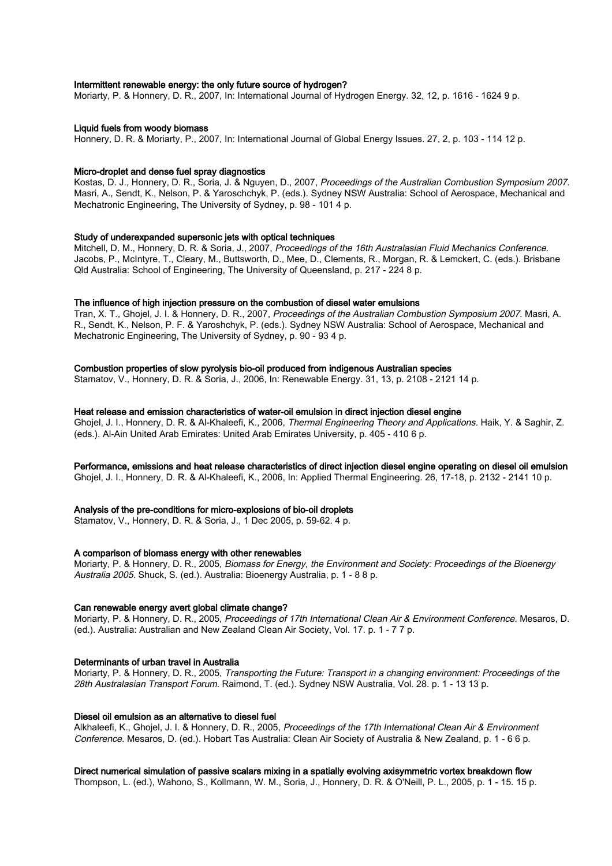# Intermittent renewable energy: the only future source of hydrogen?

Moriarty, P. & Honnery, D. R., 2007, In: International Journal of Hydrogen Energy. 32, 12, p. 1616 - 1624 9 p.

### Liquid fuels from woody biomass

Honnery, D. R. & Moriarty, P., 2007, In: International Journal of Global Energy Issues. 27, 2, p. 103 - 114 12 p.

# Micro-droplet and dense fuel spray diagnostics

Kostas, D. J., Honnery, D. R., Soria, J. & Nguyen, D., 2007, Proceedings of the Australian Combustion Symposium 2007. Masri, A., Sendt, K., Nelson, P. & Yaroschchyk, P. (eds.). Sydney NSW Australia: School of Aerospace, Mechanical and Mechatronic Engineering, The University of Sydney, p. 98 - 101 4 p.

### Study of underexpanded supersonic jets with optical techniques

Mitchell, D. M., Honnery, D. R. & Soria, J., 2007, Proceedings of the 16th Australasian Fluid Mechanics Conference. Jacobs, P., McIntyre, T., Cleary, M., Buttsworth, D., Mee, D., Clements, R., Morgan, R. & Lemckert, C. (eds.). Brisbane Qld Australia: School of Engineering, The University of Queensland, p. 217 - 224 8 p.

### The influence of high injection pressure on the combustion of diesel water emulsions

Tran, X. T., Ghojel, J. I. & Honnery, D. R., 2007, Proceedings of the Australian Combustion Symposium 2007. Masri, A. R., Sendt, K., Nelson, P. F. & Yaroshchyk, P. (eds.). Sydney NSW Australia: School of Aerospace, Mechanical and Mechatronic Engineering, The University of Sydney, p. 90 - 93 4 p.

# Combustion properties of slow pyrolysis bio-oil produced from indigenous Australian species

Stamatov, V., Honnery, D. R. & Soria, J., 2006, In: Renewable Energy. 31, 13, p. 2108 - 2121 14 p.

### Heat release and emission characteristics of water-oil emulsion in direct injection diesel engine

Ghojel, J. I., Honnery, D. R. & Al-Khaleefi, K., 2006, Thermal Engineering Theory and Applications. Haik, Y. & Saghir, Z. (eds.). Al-Ain United Arab Emirates: United Arab Emirates University, p. 405 - 410 6 p.

# Performance, emissions and heat release characteristics of direct injection diesel engine operating on diesel oil emulsion

Ghojel, J. I., Honnery, D. R. & Al-Khaleefi, K., 2006, In: Applied Thermal Engineering. 26, 17-18, p. 2132 - 2141 10 p.

# Analysis of the pre-conditions for micro-explosions of bio-oil droplets

Stamatov, V., Honnery, D. R. & Soria, J., 1 Dec 2005, p. 59-62. 4 p.

# A comparison of biomass energy with other renewables

Moriarty, P. & Honnery, D. R., 2005, Biomass for Energy, the Environment and Society: Proceedings of the Bioenergy Australia 2005. Shuck, S. (ed.). Australia: Bioenergy Australia, p. 1 - 8 8 p.

# Can renewable energy avert global climate change?

Moriarty, P. & Honnery, D. R., 2005, Proceedings of 17th International Clean Air & Environment Conference. Mesaros, D. (ed.). Australia: Australian and New Zealand Clean Air Society, Vol. 17. p. 1 - 7 7 p.

# Determinants of urban travel in Australia

Moriarty, P. & Honnery, D. R., 2005, Transporting the Future: Transport in a changing environment: Proceedings of the 28th Australasian Transport Forum. Raimond, T. (ed.). Sydney NSW Australia, Vol. 28. p. 1 - 13 13 p.

# Diesel oil emulsion as an alternative to diesel fuel

Alkhaleefi, K., Ghojel, J. I. & Honnery, D. R., 2005, Proceedings of the 17th International Clean Air & Environment Conference. Mesaros, D. (ed.). Hobart Tas Australia: Clean Air Society of Australia & New Zealand, p. 1 - 6 6 p.

# Direct numerical simulation of passive scalars mixing in a spatially evolving axisymmetric vortex breakdown flow

Thompson, L. (ed.), Wahono, S., Kollmann, W. M., Soria, J., Honnery, D. R. & O'Neill, P. L., 2005, p. 1 - 15. 15 p.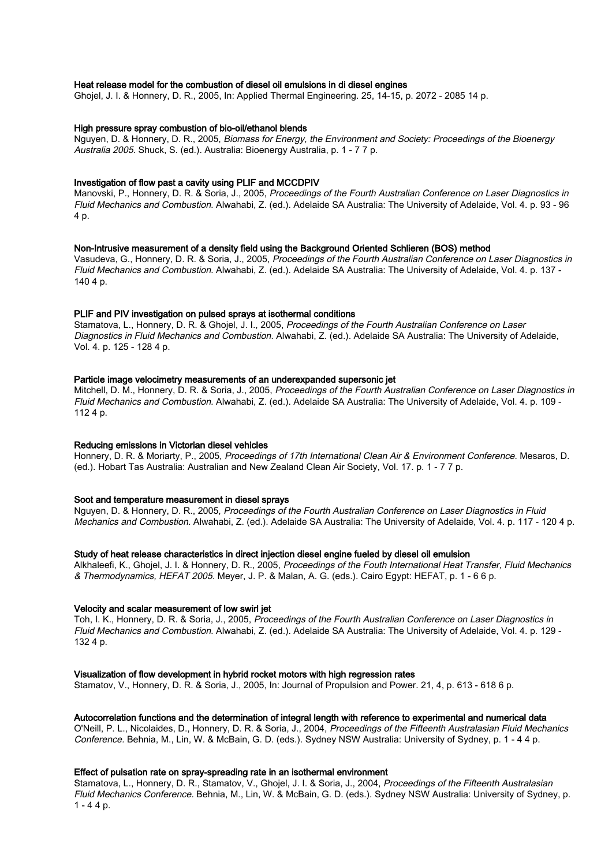### Heat release model for the combustion of diesel oil emulsions in di diesel engines

Ghojel, J. I. & Honnery, D. R., 2005, In: Applied Thermal Engineering. 25, 14-15, p. 2072 - 2085 14 p.

### High pressure spray combustion of bio-oil/ethanol blends

Nguyen, D. & Honnery, D. R., 2005, Biomass for Energy, the Environment and Society: Proceedings of the Bioenergy Australia 2005. Shuck, S. (ed.). Australia: Bioenergy Australia, p. 1 - 7 7 p.

### Investigation of flow past a cavity using PLIF and MCCDPIV

Manovski, P., Honnery, D. R. & Soria, J., 2005, Proceedings of the Fourth Australian Conference on Laser Diagnostics in Fluid Mechanics and Combustion. Alwahabi, Z. (ed.). Adelaide SA Australia: The University of Adelaide, Vol. 4. p. 93 - 96 4 p.

### Non-Intrusive measurement of a density field using the Background Oriented Schlieren (BOS) method

Vasudeva, G., Honnery, D. R. & Soria, J., 2005, Proceedings of the Fourth Australian Conference on Laser Diagnostics in Fluid Mechanics and Combustion. Alwahabi, Z. (ed.). Adelaide SA Australia: The University of Adelaide, Vol. 4. p. 137 - 140 4 p.

### PLIF and PIV investigation on pulsed sprays at isothermal conditions

Stamatova, L., Honnery, D. R. & Ghojel, J. I., 2005, Proceedings of the Fourth Australian Conference on Laser Diagnostics in Fluid Mechanics and Combustion. Alwahabi, Z. (ed.). Adelaide SA Australia: The University of Adelaide, Vol. 4. p. 125 - 128 4 p.

# Particle image velocimetry measurements of an underexpanded supersonic jet

Mitchell, D. M., Honnery, D. R. & Soria, J., 2005, Proceedings of the Fourth Australian Conference on Laser Diagnostics in Fluid Mechanics and Combustion. Alwahabi, Z. (ed.). Adelaide SA Australia: The University of Adelaide, Vol. 4. p. 109 - 112 4 p.

### Reducing emissions in Victorian diesel vehicles

Honnery, D. R. & Moriarty, P., 2005, Proceedings of 17th International Clean Air & Environment Conference. Mesaros, D. (ed.). Hobart Tas Australia: Australian and New Zealand Clean Air Society, Vol. 17. p. 1 - 7 7 p.

### Soot and temperature measurement in diesel sprays

Nguyen, D. & Honnery, D. R., 2005, Proceedings of the Fourth Australian Conference on Laser Diagnostics in Fluid Mechanics and Combustion. Alwahabi, Z. (ed.). Adelaide SA Australia: The University of Adelaide, Vol. 4. p. 117 - 120 4 p.

### Study of heat release characteristics in direct injection diesel engine fueled by diesel oil emulsion

Alkhaleefi, K., Ghojel, J. I. & Honnery, D. R., 2005, Proceedings of the Fouth International Heat Transfer, Fluid Mechanics & Thermodynamics, HEFAT 2005. Meyer, J. P. & Malan, A. G. (eds.). Cairo Egypt: HEFAT, p. 1 - 6 6 p.

#### Velocity and scalar measurement of low swirl jet

Toh, I. K., Honnery, D. R. & Soria, J., 2005, Proceedings of the Fourth Australian Conference on Laser Diagnostics in Fluid Mechanics and Combustion. Alwahabi, Z. (ed.). Adelaide SA Australia: The University of Adelaide, Vol. 4. p. 129 - 132 4 p.

### Visualization of flow development in hybrid rocket motors with high regression rates

Stamatov, V., Honnery, D. R. & Soria, J., 2005, In: Journal of Propulsion and Power. 21, 4, p. 613 - 618 6 p.

# Autocorrelation functions and the determination of integral length with reference to experimental and numerical data

O'Neill, P. L., Nicolaides, D., Honnery, D. R. & Soria, J., 2004, Proceedings of the Fifteenth Australasian Fluid Mechanics Conference. Behnia, M., Lin, W. & McBain, G. D. (eds.). Sydney NSW Australia: University of Sydney, p. 1 - 4 4 p.

# Effect of pulsation rate on spray-spreading rate in an isothermal environment

Stamatova, L., Honnery, D. R., Stamatov, V., Ghojel, J. I. & Soria, J., 2004, Proceedings of the Fifteenth Australasian Fluid Mechanics Conference. Behnia, M., Lin, W. & McBain, G. D. (eds.). Sydney NSW Australia: University of Sydney, p.  $1 - 44 p$ .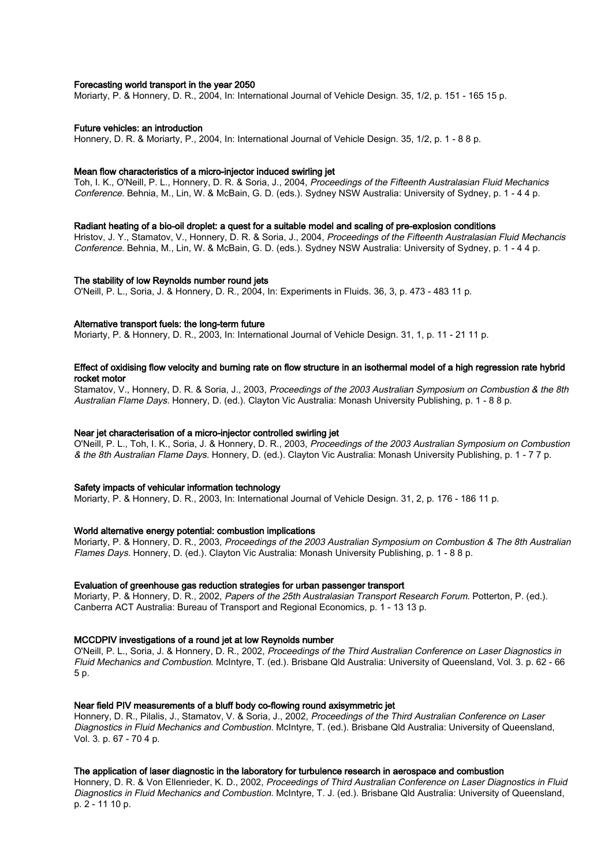### Forecasting world transport in the year 2050

Moriarty, P. & Honnery, D. R., 2004, In: International Journal of Vehicle Design. 35, 1/2, p. 151 - 165 15 p.

### Future vehicles: an introduction

Honnery, D. R. & Moriarty, P., 2004, In: International Journal of Vehicle Design. 35, 1/2, p. 1 - 8 8 p.

### Mean flow characteristics of a micro-injector induced swirling jet

Toh, I. K., O'Neill, P. L., Honnery, D. R. & Soria, J., 2004, Proceedings of the Fifteenth Australasian Fluid Mechanics Conference. Behnia, M., Lin, W. & McBain, G. D. (eds.). Sydney NSW Australia: University of Sydney, p. 1 - 4 4 p.

### Radiant heating of a bio-oil droplet: a quest for a suitable model and scaling of pre-explosion conditions

Hristov, J. Y., Stamatov, V., Honnery, D. R. & Soria, J., 2004, Proceedings of the Fifteenth Australasian Fluid Mechancis Conference. Behnia, M., Lin, W. & McBain, G. D. (eds.). Sydney NSW Australia: University of Sydney, p. 1 - 4 4 p.

### The stability of low Reynolds number round jets

O'Neill, P. L., Soria, J. & Honnery, D. R., 2004, In: Experiments in Fluids. 36, 3, p. 473 - 483 11 p.

# Alternative transport fuels: the long-term future

Moriarty, P. & Honnery, D. R., 2003, In: International Journal of Vehicle Design. 31, 1, p. 11 - 21 11 p.

# Effect of oxidising flow velocity and burning rate on flow structure in an isothermal model of a high regression rate hybrid rocket motor

Stamatov, V., Honnery, D. R. & Soria, J., 2003, Proceedings of the 2003 Australian Symposium on Combustion & the 8th Australian Flame Days. Honnery, D. (ed.). Clayton Vic Australia: Monash University Publishing, p. 1 - 8 8 p.

### Near jet characterisation of a micro-injector controlled swirling jet

O'Neill, P. L., Toh, I. K., Soria, J. & Honnery, D. R., 2003, Proceedings of the 2003 Australian Symposium on Combustion & the 8th Australian Flame Days. Honnery, D. (ed.). Clayton Vic Australia: Monash University Publishing, p. 1 - 7 7 p.

### Safety impacts of vehicular information technology

Moriarty, P. & Honnery, D. R., 2003, In: International Journal of Vehicle Design. 31, 2, p. 176 - 186 11 p.

### World alternative energy potential: combustion implications

Moriarty, P. & Honnery, D. R., 2003, Proceedings of the 2003 Australian Symposium on Combustion & The 8th Australian Flames Days. Honnery, D. (ed.). Clayton Vic Australia: Monash University Publishing, p. 1 - 8 8 p.

### Evaluation of greenhouse gas reduction strategies for urban passenger transport

Moriarty, P. & Honnery, D. R., 2002, Papers of the 25th Australasian Transport Research Forum. Potterton, P. (ed.). Canberra ACT Australia: Bureau of Transport and Regional Economics, p. 1 - 13 13 p.

### MCCDPIV investigations of a round jet at low Reynolds number

O'Neill, P. L., Soria, J. & Honnery, D. R., 2002, Proceedings of the Third Australian Conference on Laser Diagnostics in Fluid Mechanics and Combustion. McIntyre, T. (ed.). Brisbane Qld Australia: University of Queensland, Vol. 3. p. 62 - 66 5 p.

# Near field PIV measurements of a bluff body co-flowing round axisymmetric jet

Honnery, D. R., Pilalis, J., Stamatov, V. & Soria, J., 2002, Proceedings of the Third Australian Conference on Laser Diagnostics in Fluid Mechanics and Combustion. McIntyre, T. (ed.). Brisbane Qld Australia: University of Queensland, Vol. 3. p. 67 - 70 4 p.

### The application of laser diagnostic in the laboratory for turbulence research in aerospace and combustion

Honnery, D. R. & Von Ellenrieder, K. D., 2002, Proceedings of Third Australian Conference on Laser Diagnostics in Fluid Diagnostics in Fluid Mechanics and Combustion. McIntyre, T. J. (ed.). Brisbane Qld Australia: University of Queensland, p. 2 - 11 10 p.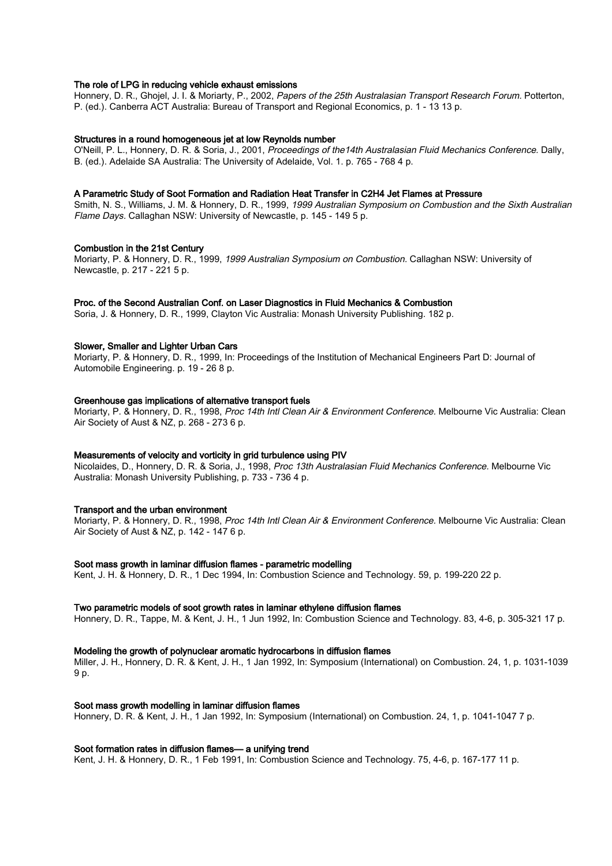# The role of LPG in reducing vehicle exhaust emissions

Honnery, D. R., Ghojel, J. I. & Moriarty, P., 2002, Papers of the 25th Australasian Transport Research Forum. Potterton, P. (ed.). Canberra ACT Australia: Bureau of Transport and Regional Economics, p. 1 - 13 13 p.

### Structures in a round homogeneous jet at low Reynolds number

O'Neill, P. L., Honnery, D. R. & Soria, J., 2001, Proceedings of the14th Australasian Fluid Mechanics Conference. Dally, B. (ed.). Adelaide SA Australia: The University of Adelaide, Vol. 1. p. 765 - 768 4 p.

### A Parametric Study of Soot Formation and Radiation Heat Transfer in C2H4 Jet Flames at Pressure

Smith, N. S., Williams, J. M. & Honnery, D. R., 1999, 1999 Australian Symposium on Combustion and the Sixth Australian Flame Days. Callaghan NSW: University of Newcastle, p. 145 - 149 5 p.

### Combustion in the 21st Century

Moriarty, P. & Honnery, D. R., 1999, 1999 Australian Symposium on Combustion. Callaghan NSW: University of Newcastle, p. 217 - 221 5 p.

### Proc. of the Second Australian Conf. on Laser Diagnostics in Fluid Mechanics & Combustion

Soria, J. & Honnery, D. R., 1999, Clayton Vic Australia: Monash University Publishing. 182 p.

### Slower, Smaller and Lighter Urban Cars

Moriarty, P. & Honnery, D. R., 1999, In: Proceedings of the Institution of Mechanical Engineers Part D: Journal of Automobile Engineering. p. 19 - 26 8 p.

### Greenhouse gas implications of alternative transport fuels

Moriarty, P. & Honnery, D. R., 1998, Proc 14th Intl Clean Air & Environment Conference. Melbourne Vic Australia: Clean Air Society of Aust & NZ, p. 268 - 273 6 p.

# Measurements of velocity and vorticity in grid turbulence using PIV

Nicolaides, D., Honnery, D. R. & Soria, J., 1998, Proc 13th Australasian Fluid Mechanics Conference. Melbourne Vic Australia: Monash University Publishing, p. 733 - 736 4 p.

### Transport and the urban environment

Moriarty, P. & Honnery, D. R., 1998, Proc 14th Intl Clean Air & Environment Conference. Melbourne Vic Australia: Clean Air Society of Aust & NZ, p. 142 - 147 6 p.

### Soot mass growth in laminar diffusion flames - parametric modelling

Kent, J. H. & Honnery, D. R., 1 Dec 1994, In: Combustion Science and Technology. 59, p. 199-220 22 p.

### Two parametric models of soot growth rates in laminar ethylene diffusion flames

Honnery, D. R., Tappe, M. & Kent, J. H., 1 Jun 1992, In: Combustion Science and Technology. 83, 4-6, p. 305-321 17 p.

# Modeling the growth of polynuclear aromatic hydrocarbons in diffusion flames

Miller, J. H., Honnery, D. R. & Kent, J. H., 1 Jan 1992, In: Symposium (International) on Combustion. 24, 1, p. 1031-1039 9 p.

# Soot mass growth modelling in laminar diffusion flames

Honnery, D. R. & Kent, J. H., 1 Jan 1992, In: Symposium (International) on Combustion. 24, 1, p. 1041-1047 7 p.

### Soot formation rates in diffusion flames— a unifying trend

Kent, J. H. & Honnery, D. R., 1 Feb 1991, In: Combustion Science and Technology. 75, 4-6, p. 167-177 11 p.